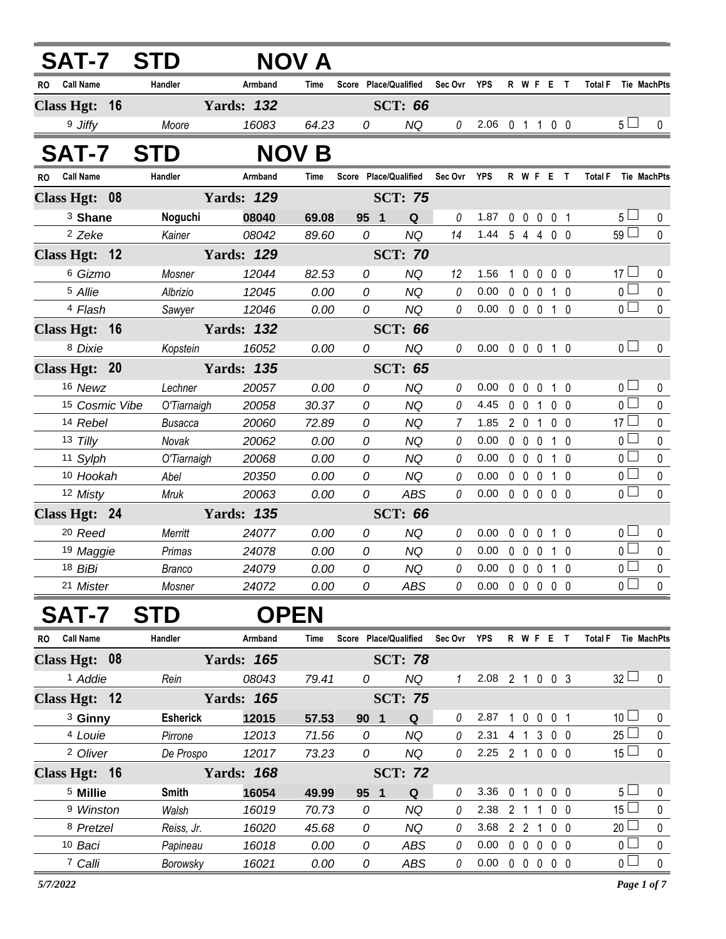| <b>SAT-7</b>           | <b>STD</b>      |                   | NOV A        |                       |                  |                |                                    |              |                     |              |                |                                  |                        |
|------------------------|-----------------|-------------------|--------------|-----------------------|------------------|----------------|------------------------------------|--------------|---------------------|--------------|----------------|----------------------------------|------------------------|
| <b>Call Name</b><br>RO | Handler         | Armband           | Time         | Score Place/Qualified |                  | Sec Ovr YPS    |                                    |              |                     | R W F E T    |                | <b>Total F</b>                   | Tie MachPts            |
| Class Hgt: 16          |                 | <b>Yards: 132</b> |              |                       | <b>SCT: 66</b>   |                |                                    |              |                     |              |                |                                  |                        |
| 9 Jiffy                | Moore           | 16083             | 64.23        | 0                     | <b>NQ</b>        | 0              | 2.06 0 1 1 0 0                     |              |                     |              |                | 5 <sub>1</sub>                   | 0                      |
| <b>SAT-7</b>           | <b>STD</b>      |                   | <b>NOV B</b> |                       |                  |                |                                    |              |                     |              |                |                                  |                        |
| <b>Call Name</b><br>RO | Handler         | Armband           | Time         | Score Place/Qualified |                  | Sec Ovr YPS    |                                    |              |                     | R W F E T    |                | <b>Total F</b>                   | Tie MachPts            |
| Class Hgt: 08          |                 | <b>Yards: 129</b> |              |                       | <b>SCT: 75</b>   |                |                                    |              |                     |              |                |                                  |                        |
| <sup>3</sup> Shane     | Noguchi         | 08040             | 69.08        | 95 1                  | Q                | $\theta$       | 1.87                               | $\mathbf 0$  |                     | 0 0 0 1      |                | 5 <sub>1</sub>                   | $\mathbf 0$            |
| <sup>2</sup> Zeke      | Kainer          | 08042             | 89.60        | 0                     | <b>NQ</b>        | 14             | 1.44 5 4 4 0 0                     |              |                     |              |                | 59                               | $\mathbf 0$            |
| Class Hgt: 12          |                 | <b>Yards: 129</b> |              |                       | <b>SCT: 70</b>   |                |                                    |              |                     |              |                |                                  |                        |
| 6 Gizmo                | Mosner          | 12044             | 82.53        | 0                     | <b>NQ</b>        | 12             | 1.56                               | $\mathbf{1}$ | $\ddot{\mathbf{0}}$ | $\mathbf 0$  | 0 <sub>0</sub> | 17 <sup>1</sup>                  | 0                      |
| 5 Allie                | Albrizio        | 12045             | 0.00         | 0                     | <b>NQ</b>        | $\theta$       | 0.00                               |              | $0\quad 0\quad 0$   |              | 1 0            | $\overline{0}$                   | $\pmb{0}$              |
| <sup>4</sup> Flash     | Sawyer          | 12046             | 0.00         | 0                     | <b>NQ</b>        | $\mathcal{O}$  | $0.00 \t0 \t0 \t0 \t1 \t0$         |              |                     |              |                | $\overline{0}$                   | $\mathbf 0$            |
| Class Hgt: 16          |                 | <b>Yards: 132</b> |              |                       | <b>SCT: 66</b>   |                |                                    |              |                     |              |                |                                  |                        |
| 8 Dixie                | Kopstein        | 16052             | 0.00         | 0                     | <b>NQ</b>        | 0              | 0.00 0 0 0 1 0                     |              |                     |              |                | 0 <sub>0</sub>                   | $\mathbf{0}$           |
| Class Hgt: 20          |                 | <b>Yards: 135</b> |              |                       | <b>SCT: 65</b>   |                |                                    |              |                     |              |                |                                  |                        |
| 16 Newz                | Lechner         | 20057             | 0.00         | 0                     | <b>NQ</b>        | 0              | 0.00                               | $\mathbf 0$  | $\mathbf 0$         | $\mathbf 0$  | 1 0            | 0 <sub>0</sub>                   | $\mathbf 0$            |
| 15 Cosmic Vibe         | O'Tiarnaigh     | 20058             | 30.37        | 0                     | <b>NQ</b>        | 0              | 4.45                               |              | $0 \t0 \t1$         |              | 0 <sub>0</sub> | $\overline{0}$                   | $\mathbf 0$            |
| 14 Rebel               | <b>Busacca</b>  | 20060             | 72.89        | $\mathcal{O}$         | <b>NQ</b>        | $\overline{7}$ | 1.85                               |              | $2 \quad 0 \quad 1$ |              | 0 <sub>0</sub> | 17 <sup>1</sup>                  | $\mathbf 0$            |
| 13 Tilly               | Novak           | 20062             | 0.00         | 0                     | <b>NQ</b>        | 0              | 0.00                               |              | $0\quad 0\quad 0$   |              | 1 0            | $\overline{0}$                   | $\pmb{0}$              |
| 11 Sylph               | O'Tiarnaigh     | 20068             | 0.00         | 0                     | <b>NQ</b>        | 0              | 0.00                               |              | $0\quad 0\quad 0$   |              | $1\quad0$      | $\overline{0}$                   | $\mathbf 0$            |
| 10 Hookah              | Abel            | 20350             | 0.00         | $\mathcal O$          | <b>NQ</b>        | 0              | 0.00                               |              | $0\quad 0\quad 0$   |              | $1\quad0$      | $\overline{0}$<br>$\overline{0}$ | $\pmb{0}$              |
| 12 Misty               | Mruk            | 20063             | 0.00         | 0                     | ABS              | $\theta$       | 0.00                               |              |                     | 00000        |                |                                  | $\mathbf 0$            |
| Class Hgt: 24          |                 | <b>Yards: 135</b> |              |                       | <b>SCT: 66</b>   |                |                                    |              |                     |              |                |                                  |                        |
| <sup>20</sup> Reed     | Merritt         | 24077             | 0.00         | 0                     | <b>NQ</b>        | 0              | 0.00                               | 0            | $\mathbf 0$         | 0            | $1\quad0$      | $\overline{0}$                   | 0                      |
| 19 Maggie              | Primas          | 24078             | 0.00         | 0                     | <b>NQ</b>        | 0              | 0.00                               |              | $0\quad 0\quad 0$   |              | $1\quad0$      | $\overline{0}$<br>$\overline{0}$ | $\pmb{0}$<br>$\pmb{0}$ |
| 18 BiBi<br>21 Mister   | <b>Branco</b>   | 24079<br>24072    | 0.00<br>0.00 | ${\cal O}$<br>0       | <b>NQ</b><br>ABS | 0<br>0         | 0.00<br>$0.00 \t0 \t0 \t0 \t0 \t0$ | $\mathbf 0$  | $0\quad 0$          |              | 1 0            | $\overline{0}$                   | $\mathbf 0$            |
|                        | Mosner          |                   |              |                       |                  |                |                                    |              |                     |              |                |                                  |                        |
| <b>SAT-7</b>           | <b>STD</b>      | <b>OPEN</b>       |              |                       |                  |                |                                    |              |                     |              |                |                                  |                        |
| RO Call Name           | Handler         | Armband           | Time         | Score Place/Qualified |                  | Sec Ovr        | <b>YPS</b>                         |              |                     | R W F E T    |                | <b>Total F</b>                   | Tie MachPts            |
| Class Hgt: 08          |                 | <b>Yards: 165</b> |              |                       | <b>SCT: 78</b>   |                |                                    |              |                     |              |                |                                  |                        |
| <sup>1</sup> Addie     | Rein            | 08043             | 79.41        | 0                     | <b>NQ</b>        | $\mathcal I$   | 2.08 2 1 0 0 3                     |              |                     |              |                | $32 \Box$                        | 0                      |
| Class Hgt: 12          |                 | <b>Yards: 165</b> |              |                       | <b>SCT: 75</b>   |                |                                    |              |                     |              |                |                                  |                        |
| <sup>3</sup> Ginny     | <b>Esherick</b> | 12015             | 57.53        | 90 <sub>1</sub>       | Q                | 0              | 2.87                               |              | $1\quad0$           | $0 \t0 \t1$  |                | 10 <sup>1</sup>                  | 0                      |
| 4 Louie                | Pirrone         | 12013             | 71.56        | 0                     | <b>NQ</b>        | 0              | 2.31                               |              |                     | 4 1 3 0 0    |                | $25\Box$                         | $\pmb{0}$              |
| <sup>2</sup> Oliver    | De Prospo       | 12017             | 73.23        | 0                     | <b>NQ</b>        | 0              | 2.25 2 1 0 0 0                     |              |                     |              |                | 15 <sup>1</sup>                  | $\pmb{0}$              |
| Class Hgt: 16          |                 | <b>Yards: 168</b> |              |                       | <b>SCT: 72</b>   |                |                                    |              |                     |              |                |                                  |                        |
| <sup>5</sup> Millie    | <b>Smith</b>    | 16054             | 49.99        | 95 1                  | Q                | 0              | 3.36                               | $\mathbf 0$  | $\overline{1}$      | $\mathbf 0$  | $0\quad 0$     | $5\perp$                         | 0                      |
| <sup>9</sup> Winston   | Walsh           | 16019             | 70.73        | 0                     | <b>NQ</b>        | 0              | 2.38                               |              | 2 <sub>1</sub>      | 1            | $0\quad 0$     | 15 <sup>1</sup>                  | $\pmb{0}$              |
| 8 Pretzel              | Reiss, Jr.      | 16020             | 45.68        | 0                     | <b>NQ</b>        | 0              | 3.68                               |              | 2 <sub>2</sub>      | $\mathbf{1}$ | $0\quad 0$     | 20 <sub>1</sub>                  | 0                      |
| 10 Baci                | Papineau        | 16018             | 0.00         | 0                     | <b>ABS</b>       | 0              | 0.00                               |              | $0\quad 0\quad 0$   |              | $0\quad 0$     | $\overline{0}$                   | $\pmb{0}$              |
| 7 Calli                | Borowsky        | 16021             | 0.00         | 0                     | ABS              | $\theta$       | $0.00 \t0 \t0 \t0 \t0 \t0$         |              |                     |              |                | $\overline{0}$                   | $\pmb{0}$              |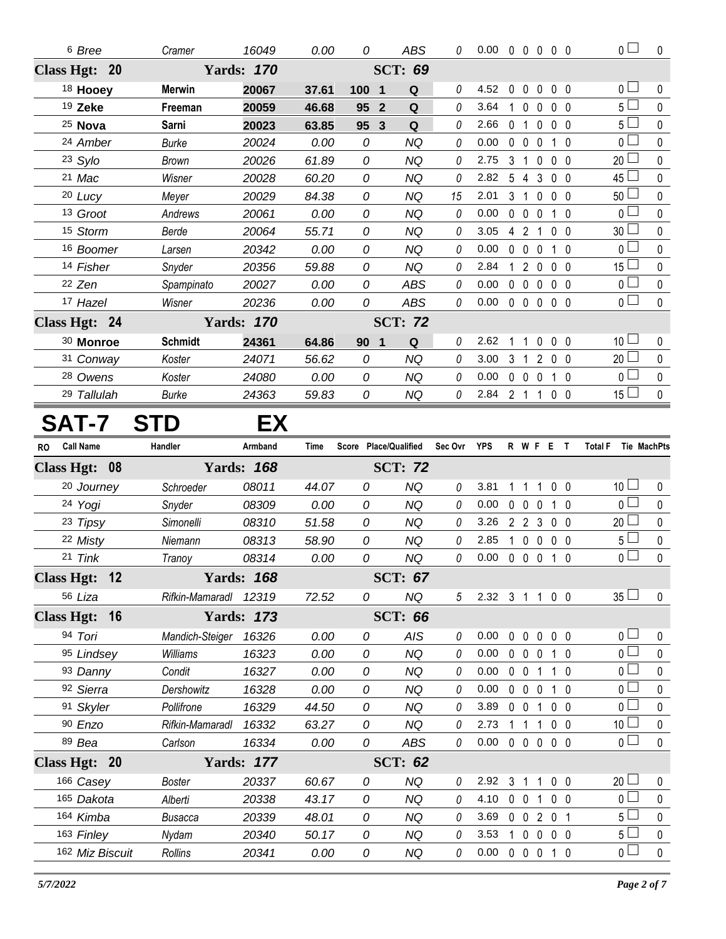| <sup>6</sup> Bree                    | Cramer                | 16049                               | 0.00          | 0                              | <b>ABS</b>            | 0           | $0.00 \t0 \t0 \t0 \t0 \t0$ |                |                   |                |                           | $\overline{0}$                | $\mathbf 0$    |
|--------------------------------------|-----------------------|-------------------------------------|---------------|--------------------------------|-----------------------|-------------|----------------------------|----------------|-------------------|----------------|---------------------------|-------------------------------|----------------|
| Class Hgt: 20                        |                       | <b>SCT: 69</b><br><b>Yards: 170</b> |               |                                |                       |             |                            |                |                   |                |                           |                               |                |
| 18 Hooey                             | <b>Merwin</b>         | 20067                               | 37.61         | 100<br>$\overline{\mathbf{1}}$ | Q                     | 0           | 4.52                       | 0              | $\mathbf 0$       | 0              | 0 <sub>0</sub>            | 0 <sub>0</sub>                | 0              |
| 19 Zeke                              | Freeman               | 20059                               | 46.68         | $\overline{2}$<br>95           | Q                     | 0           | 3.64                       | $\mathbf 1$    | $\mathbf 0$       | $\mathbf{0}$   | 0 <sub>0</sub>            | 5 <sub>1</sub>                | 0              |
| $25$ Nova                            | Sarni                 | 20023                               | 63.85         | 95 3                           | Q                     | 0           | 2.66                       | $\mathbf{0}$   | -1                | $\mathbf{0}$   | 0 <sub>0</sub>            | 5 <sub>1</sub>                | 0              |
| 24 Amber                             | <b>Burke</b>          | 20024                               | 0.00          | $\mathcal O$                   | <b>NQ</b>             | 0           | 0.00                       | $0\quad 0$     |                   | $\mathbf 0$    | $1\quad0$                 | 0 <sub>0</sub>                | $\mathbf 0$    |
| 23 Sylo                              | <b>Brown</b>          | 20026                               | 61.89         | 0                              | <b>NQ</b>             | 0           | 2.75                       | 3              | $\overline{1}$    | $\mathbf{0}$   | 0 <sub>0</sub>            | 20 <sub>2</sub>               | 0              |
| 21 Mac                               | Wisner                | 20028                               | 60.20         | 0                              | <b>NQ</b>             | 0           | 2.82                       | 5              | $\overline{4}$    | 3              | 0 <sub>0</sub>            | 45 <sup>1</sup>               | 0              |
| 20 Lucy                              | Meyer                 | 20029                               | 84.38         | 0                              | <b>NQ</b>             | 15          | 2.01                       | 3              | $\overline{1}$    | $\mathbf{0}$   | 0 <sub>0</sub>            | $50-$                         | 0              |
| 13 Groot                             | Andrews               | 20061                               | 0.00          | 0                              | <b>NQ</b>             | 0           | 0.00                       | $\mathbf 0$    | $\mathbf 0$       | $\mathbf{0}$   | $1\quad0$                 | 0 <sup>1</sup>                | $\pmb{0}$      |
| 15 Storm                             | Berde                 | 20064                               | 55.71         | 0                              | <b>NQ</b>             | 0           | 3.05                       |                | 4 <sub>2</sub>    | $\overline{1}$ | 0 <sub>0</sub>            | 30 <sup>2</sup>               | 0              |
| 16 Boomer                            | Larsen                | 20342                               | 0.00          | 0                              | <b>NQ</b>             | 0           | 0.00                       | $\mathbf 0$    | $\mathbf 0$       | $\mathbf 0$    | $1\quad0$                 | 0 <sub>0</sub>                | 0              |
| 14 Fisher                            | Snyder                | 20356                               | 59.88         | 0                              | <b>NQ</b>             | 0           | 2.84                       | 1              | $\overline{2}$    | $\mathbf 0$    | 0 <sub>0</sub>            | $15\perp$                     | 0              |
| 22 Zen                               | Spampinato            | 20027                               | 0.00          | 0                              | <b>ABS</b>            | 0           | 0.00                       |                | $0\quad 0$        | $\mathbf 0$    | 0 <sub>0</sub>            | 0 <sub>1</sub>                | $\pmb{0}$      |
| 17 Hazel                             | Wisner                | 20236                               | 0.00          | 0                              | ABS                   | 0           | 0.00                       |                | $0\quad 0\quad 0$ |                | 0 <sub>0</sub>            | $\overline{0}$                | $\mathbf 0$    |
| Class Hgt: 24                        |                       | <b>Yards: 170</b>                   |               |                                | <b>SCT: 72</b>        |             |                            |                |                   |                |                           |                               |                |
| 30 Monroe                            | <b>Schmidt</b>        | 24361                               | 64.86         | 90<br>$\overline{\mathbf{1}}$  | Q                     | 0           | 2.62                       | $\overline{1}$ | $\overline{1}$    | $\mathbf 0$    | 0 <sub>0</sub>            | 10 <sup>1</sup>               | 0              |
| 31 Conway                            | Koster                | 24071                               | 56.62         | 0                              | <b>NQ</b>             | 0           | 3.00                       | 3 <sub>1</sub> |                   | $\overline{2}$ | 0 <sub>0</sub>            | $20\Box$                      | $\pmb{0}$      |
| 28 Owens                             | Koster                | 24080                               | 0.00          | 0                              | <b>NQ</b>             | 0           | 0.00                       | 0 <sub>0</sub> |                   | $\mathbf 0$    | $1\quad0$                 | 0 <sub>0</sub>                | $\pmb{0}$      |
| 29 Tallulah                          | <b>Burke</b>          | 24363                               | 59.83         | 0                              | NQ                    | 0           | $2.84$ 2 1                 |                |                   | $\overline{1}$ | 0 <sub>0</sub>            | $15 \Box$                     | $\pmb{0}$      |
| SAT-7                                | S<br>D                | EX                                  |               |                                |                       |             |                            |                |                   |                |                           |                               |                |
|                                      |                       |                                     |               |                                |                       |             |                            |                |                   |                |                           |                               |                |
| <b>Call Name</b><br>RO.              | Handler               | Armband                             | Time          |                                | Score Place/Qualified | Sec Ovr YPS |                            |                |                   |                | R W F E T                 | <b>Total F</b><br>Tie MachPts |                |
| Class Hgt: 08                        |                       | <b>Yards: 168</b>                   |               |                                | <b>SCT: 72</b>        |             |                            |                |                   |                |                           |                               |                |
| 20 Journey                           | Schroeder             | 08011                               | 44.07         | 0                              | <b>NQ</b>             | 0           | 3.81                       | 1              | -1                | 1              | 0 <sub>0</sub>            | 10 <sup>1</sup>               | 0              |
| 24 Yogi                              | Snyder                | 08309                               | 0.00          | 0                              | <b>NQ</b>             | 0           | 0.00                       |                | $0\quad 0$        | $\mathbf 0$    | $1\quad0$                 | 0 <sub>0</sub>                | $\pmb{0}$      |
| 23 Tipsy                             | Simonelli             | 08310                               | 51.58         | 0                              | <b>NQ</b>             | 0           | 3.26                       |                | $2\quad 2\quad 3$ |                | 0 <sub>0</sub>            | 20 <sup>2</sup>               | 0              |
| 22 Misty                             | Niemann               | 08313                               | 58.90         | 0                              | <b>NQ</b>             | 0           | 2.85                       | 1.             | $\mathbf 0$       | 0              | 0 <sub>0</sub>            | 5 <sup>1</sup>                | $\pmb{0}$      |
| 21 Tink                              | Tranoy                | 08314                               | 0.00          | 0                              | <b>NQ</b>             | 0           | 0.00                       |                | $0\quad 0\quad 0$ |                | $1\quad0$                 | $0-$                          | 0              |
| <b>Class Hgt:</b><br>$\overline{12}$ |                       | <b>Yards: 168</b>                   |               |                                | <b>SCT: 67</b>        |             |                            |                |                   |                |                           |                               |                |
| 56 Liza                              | Rifkin-Mamaradl 12319 |                                     | 72.52         | 0                              | NQ                    | 5           | 2.32 3 1 1 0 0             |                |                   |                |                           | 35 <sup>1</sup>               | 0              |
| Class Hgt: 16                        |                       | <b>Yards: 173</b>                   |               |                                | <b>SCT: 66</b>        |             |                            |                |                   |                |                           |                               |                |
| 94 Tori                              | Mandich-Steiger       | 16326                               | 0.00          | 0                              | <b>AIS</b>            | 0           | 0.00                       |                | $0\quad 0$        | $\mathbf 0$    | $0\quad 0$                | 0 <sub>0</sub>                | 0              |
| 95 Lindsey                           | Williams              | 16323                               | 0.00          | 0                              | <b>NQ</b>             | 0           | 0.00                       |                | $0\quad 0$        | $\mathbf 0$    | $1\quad0$                 | 0 <sub>1</sub>                | 0              |
| 93 Danny                             | Condit                | 16327                               | 0.00          | 0                              | NQ                    | 0           | 0.00                       |                | $0 \t0 \t1$       |                | 1 0                       | 0 <sup>1</sup>                | 0              |
| 92 Sierra                            | Dershowitz            | 16328                               | 0.00          | 0                              | <b>NQ</b>             | 0           | 0.00                       |                | $0\quad 0\quad 0$ |                | $1\quad 0$                | $0-$                          | 0              |
| 91 Skyler                            | Pollifrone            | 16329                               | 44.50         | 0                              | <b>NQ</b>             | 0           | 3.89                       |                | $0 \t0 \t1$       |                | $0\quad 0$                | 0 <sub>l</sub>                | 0              |
| 90 Enzo                              | Rifkin-Mamaradl       | 16332                               | 63.27         | 0                              | NQ                    | 0           | 2.73                       |                |                   |                | 1 1 1 0 0                 | 10 <sup>1</sup>               | 0              |
| 89 Bea                               | Carlson               | 16334                               | 0.00          | 0                              | ABS                   | 0           | 0.00                       |                |                   |                | 00000                     | $\overline{0}$                | $\mathbf 0$    |
| Class Hgt: 20                        |                       | <b>Yards: 177</b>                   |               |                                | <b>SCT: 62</b>        |             |                            |                |                   |                |                           |                               |                |
| 166 Casey                            | Boster                | 20337                               | 60.67         | 0                              | <b>NQ</b>             | 0           | 2.92 3 1 1 0 0             |                |                   |                |                           | 20 <sup>1</sup>               | 0              |
| 165 Dakota                           | Alberti               | 20338                               | 43.17         | 0                              | <b>NQ</b>             | 0           | 4.10                       |                |                   |                | 0 0 1 0 0                 | $\overline{0}$                | $\pmb{0}$      |
| 164 Kimba                            | <b>Busacca</b>        | 20339                               | 48.01         | 0                              | <b>NQ</b>             | 0           | 3.69                       |                |                   |                | 0 0 2 0 1                 | 5 <sup>1</sup>                | 0              |
| 163 Finley<br>162 Miz Biscuit        | Nydam<br>Rollins      | 20340<br>20341                      | 50.17<br>0.00 | 0<br>0                         | NQ<br>NQ              | 0<br>0      | 3.53<br>0.00               | $\mathbf{1}$   |                   |                | $0\ 0\ 0\ 0$<br>0 0 0 1 0 | $5 -$<br>$\overline{0}$       | $\pmb{0}$<br>0 |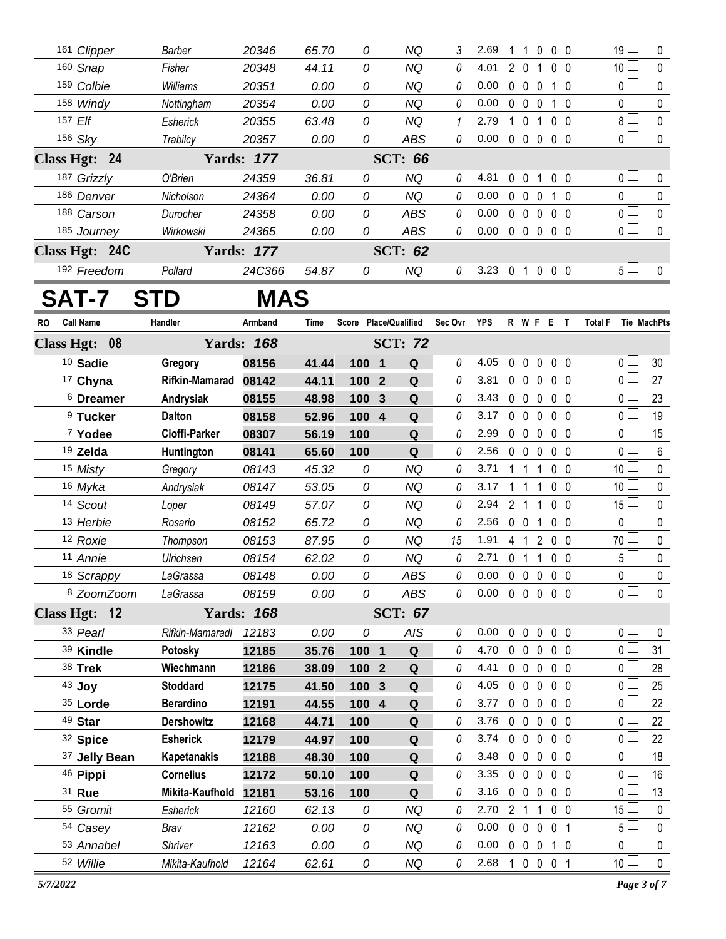| 161 Clipper    | Barber     | 20346             | 65.70 | 0 | ΝQ             | 3 | 2.69 |              |              | 0              | $0\quad 0$        | 19 <sup>1</sup> | $\mathbf{0}$ |
|----------------|------------|-------------------|-------|---|----------------|---|------|--------------|--------------|----------------|-------------------|-----------------|--------------|
| 160 Snap       | Fisher     | 20348             | 44.11 | 0 | ΝQ             | 0 | 4.01 |              | $\Omega$     |                | 0 <sub>0</sub>    | 10 <sup>1</sup> | $\Omega$     |
| 159 Colbie     | Williams   | 20351             | 0.00  | 0 | NQ             | 0 | 0.00 | $\Omega$     | $\Omega$     | $\Omega$       | $1\quad$ $\Omega$ | 0 <sub>l</sub>  | $\Omega$     |
| 158 Windy      | Nottingham | 20354             | 0.00  | 0 | NQ             | 0 | 0.00 | $\theta$     | 0            | $\Omega$       | 10                | 0 <sub>1</sub>  | $\mathbf 0$  |
| 157 Elf        | Esherick   | 20355             | 63.48 | 0 | NQ             | 1 | 2.79 |              | 0            |                | $0\quad 0$        | 8 L             | $\mathbf 0$  |
| 156 Sky        | Trabilcy   | 20357             | 0.00  | 0 | ABS            | 0 | 0.00 | $\Omega$     | $\mathbf{0}$ | $\mathbf{0}$   | $0\quad 0$        | 0 <sub>l</sub>  | $\mathbf 0$  |
| Class Hgt: 24  |            | <b>Yards: 177</b> |       |   | <b>SCT: 66</b> |   |      |              |              |                |                   |                 |              |
| 187 Grizzly    | O'Brien    | 24359             | 36.81 | 0 | NQ             | 0 | 4.81 | $\cup$       | 0            |                | 0 <sub>0</sub>    | 0 <sub>l</sub>  | $\Omega$     |
| 186 Denver     | Nicholson  | 24364             | 0.00  | 0 | NQ             | 0 | 0.00 | $\Omega$     | $\Omega$     | $\Omega$       | 1 0               | 0 <sup>L</sup>  | $\Omega$     |
| 188 Carson     | Durocher   | 24358             | 0.00  | 0 | <b>ABS</b>     | 0 | 0.00 | $\Omega$     | $\Omega$     | $\overline{0}$ | $0\quad 0$        | 0 L             | $\mathbf 0$  |
| 185 Journey    | Wirkowski  | 24365             | 0.00  | 0 | <b>ABS</b>     | 0 | 0.00 | $\mathbf{0}$ | $\mathbf{0}$ | $0\,0\,0$      |                   | 0 <sub>0</sub>  | $\mathbf{0}$ |
| Class Hgt: 24C |            | <b>Yards: 177</b> |       |   | <b>SCT: 62</b> |   |      |              |              |                |                   |                 |              |
| 192 Freedom    | Pollard    | 24C366            | 54.87 | 0 | NQ             | 0 | 3.23 |              |              | 0              | $0\quad 0$        | 5 <sub>1</sub>  | $\Omega$     |
|                |            |                   |       |   |                |   |      |              |              |                |                   |                 |              |

## **SAT-7 STD MAS**

| <b>RO</b> | <b>Call Name</b>     | Handler               | Armband           | Time  |       |                         | Score Place/Qualified | Sec Ovr  | YPS  |                |                | R W F E T      |                |                | <b>Total F</b>  | <b>Tie MachPts</b> |
|-----------|----------------------|-----------------------|-------------------|-------|-------|-------------------------|-----------------------|----------|------|----------------|----------------|----------------|----------------|----------------|-----------------|--------------------|
|           | Class Hgt: 08        |                       | <b>Yards: 168</b> |       |       |                         | <b>SCT: 72</b>        |          |      |                |                |                |                |                |                 |                    |
|           | 10 Sadie             | Gregory               | 08156             | 41.44 | 100   | $\overline{\mathbf{1}}$ | $\mathbf Q$           | 0        | 4.05 |                | $0\quad 0$     | $\mathbf 0$    | $0\quad 0$     |                | 0 <sub>1</sub>  | 30                 |
|           | 17 Chyna             | <b>Rifkin-Mamarad</b> | 08142             | 44.11 | 100 2 |                         | Q                     | $\theta$ | 3.81 |                | $0\quad 0$     | $\mathbf 0$    | 0 <sub>0</sub> |                | $0\perp$        | 27                 |
|           | <sup>6</sup> Dreamer | Andrysiak             | 08155             | 48.98 | 100   | $\mathbf{3}$            | Q                     | 0        | 3.43 |                | $0\quad 0$     | $\mathbf 0$    | 0 <sub>0</sub> |                | 0 L             | 23                 |
|           | <sup>9</sup> Tucker  | <b>Dalton</b>         | 08158             | 52.96 | 100 4 |                         | Q                     | 0        | 3.17 | $\mathbf 0$    | $\overline{0}$ | 0              | 0 <sub>0</sub> |                | 0 L             | 19                 |
|           | <sup>7</sup> Yodee   | Cioffi-Parker         | 08307             | 56.19 | 100   |                         | Q                     | 0        | 2.99 |                | $0\quad 0$     | $\pmb{0}$      | 0 <sub>0</sub> |                | 0 <sub>1</sub>  | 15                 |
|           | 19 Zelda             | Huntington            | 08141             | 65.60 | 100   |                         | Q                     | 0        | 2.56 |                | $0\quad 0$     | $\mathbf 0$    | 0 <sub>0</sub> |                | 0 <sub>0</sub>  | 6                  |
|           | 15 Misty             | Gregory               | 08143             | 45.32 | 0     |                         | <b>NQ</b>             | 0        | 3.71 | $1\quad1$      |                | 1              | 0 <sub>0</sub> |                | 10 <sup>1</sup> | 0                  |
|           | 16 Myka              | Andrysiak             | 08147             | 53.05 | 0     |                         | NQ.                   | 0        | 3.17 | $1 \quad 1$    |                | 1              | 0 <sub>0</sub> |                | 10 <sup>1</sup> | 0                  |
|           | 14 Scout             | Loper                 | 08149             | 57.07 | 0     |                         | <b>NQ</b>             | 0        | 2.94 | $\overline{2}$ | $\overline{1}$ | 1              | 0 <sub>0</sub> |                | $15\Box$        | $\pmb{0}$          |
|           | 13 Herbie            | Rosario               | 08152             | 65.72 | 0     |                         | <b>NQ</b>             | 0        | 2.56 | $0\quad 0$     |                | 1              | 0 <sub>0</sub> |                | $\overline{0}$  | $\pmb{0}$          |
|           | 12 Roxie             | Thompson              | 08153             | 87.95 | 0     |                         | <b>NQ</b>             | 15       | 1.91 |                | $4 \quad 1$    | $\overline{2}$ | 0 <sub>0</sub> |                | 70 <sub>1</sub> | 0                  |
|           | 11 Annie             | Ulrichsen             | 08154             | 62.02 | 0     |                         | <b>NQ</b>             | $\theta$ | 2.71 | $\mathbf 0$    | $\overline{1}$ | 1              | 0 <sub>0</sub> |                | 5 <sub>1</sub>  | 0                  |
|           | 18 Scrappy           | LaGrassa              | 08148             | 0.00  | 0     |                         | <b>ABS</b>            | 0        | 0.00 |                | $0\quad 0$     | $\mathbf 0$    | 0 <sub>0</sub> |                | $\overline{0}$  | 0                  |
|           | 8 ZoomZoom           | LaGrassa              | 08159             | 0.00  | 0     |                         | <b>ABS</b>            | 0        | 0.00 |                | $0\quad 0$     | $\mathbf 0$    | 0 <sub>0</sub> |                | $\overline{0}$  | $\pmb{0}$          |
|           | Class Hgt: 12        |                       | <b>Yards: 168</b> |       |       |                         | <b>SCT: 67</b>        |          |      |                |                |                |                |                |                 |                    |
|           | 33 Pearl             | Rifkin-Mamaradl       | 12183             | 0.00  | 0     |                         | AIS                   | 0        | 0.00 | $\mathbf 0$    | $\mathbf 0$    | $\pmb{0}$      | 0 <sub>0</sub> |                | 0 <sub>0</sub>  | $\mathbf 0$        |
|           | 39 Kindle            | Potosky               | 12185             | 35.76 | 100 1 |                         | Q                     | 0        | 4.70 | $\mathbf 0$    | $\overline{0}$ | $\mathbf 0$    | 0 <sub>0</sub> |                | 0 <sub>0</sub>  | 31                 |
|           | 38 Trek              | Wiechmann             | 12186             | 38.09 | 100   | $\overline{2}$          | Q                     | 0        | 4.41 | $\mathbf 0$    | $\overline{0}$ | $\mathbf{0}$   | 0 <sub>0</sub> |                | 0 <sub>0</sub>  | 28                 |
|           | 43 Joy               | <b>Stoddard</b>       | 12175             | 41.50 | 100 3 |                         | Q                     | 0        | 4.05 |                | $0\quad 0$     | $\mathbf 0$    | 0 <sub>0</sub> |                | 0 <sub>1</sub>  | 25                 |
|           | $35$ Lorde           | <b>Berardino</b>      | 12191             | 44.55 | 100   | $\overline{4}$          | Q                     | 0        | 3.77 |                | $0\quad 0$     | $\mathbf 0$    | 0 <sub>0</sub> |                | 0 L             | 22                 |
|           | 49 Star              | <b>Dershowitz</b>     | 12168             | 44.71 | 100   |                         | Q                     | 0        | 3.76 | $\mathbf 0$    | $\overline{0}$ | $\mathbf 0$    | 0 <sub>0</sub> |                | 0 <sub>l</sub>  | 22                 |
|           | 32 Spice             | <b>Esherick</b>       | 12179             | 44.97 | 100   |                         | ${\bf Q}$             | 0        | 3.74 | $\mathbf{0}$   | $\mathbf 0$    | $\mathbf{0}$   | 0 <sub>0</sub> |                | $0-$            | 22                 |
|           | 37 Jelly Bean        | Kapetanakis           | 12188             | 48.30 | 100   |                         | Q                     | 0        | 3.48 | $\mathbf 0$    | $\overline{0}$ | $\mathbf 0$    | 0 <sub>0</sub> |                | 0 <sub>1</sub>  | 18                 |
|           | 46 Pippi             | <b>Cornelius</b>      | 12172             | 50.10 | 100   |                         | $\mathbf Q$           | 0        | 3.35 |                | $0\quad 0$     | $\mathbf 0$    | 0 <sub>0</sub> |                | $\overline{0}$  | 16                 |
|           | 31 Rue               | Mikita-Kaufhold       | 12181             | 53.16 | 100   |                         | $\mathbf Q$           | $\theta$ | 3.16 |                | $0\quad 0$     | $\mathbf 0$    | $0\quad 0$     |                | 0 <sup>1</sup>  | 13                 |
|           | 55 Gromit            | Esherick              | 12160             | 62.13 | 0     |                         | <b>NQ</b>             | $\theta$ | 2.70 | 2 <sub>1</sub> |                | 1              | 0 <sub>0</sub> |                | 15 $\lfloor$    | 0                  |
|           | <sup>54</sup> Casey  | Brav                  | 12162             | 0.00  | 0     |                         | <b>NQ</b>             | 0        | 0.00 | $\mathbf 0$    | $\overline{0}$ | $\Omega$       | $\mathbf 0$    | $\overline{1}$ | 5 <sub>1</sub>  | 0                  |
|           | 53 Annabel           | Shriver               | 12163             | 0.00  | 0     |                         | <b>NQ</b>             | 0        | 0.00 | $\mathbf 0$    | $\mathbf 0$    | 0              | $1\quad0$      |                | 0 <sub>0</sub>  | 0                  |
|           | 52 Willie            | Mikita-Kaufhold       | 12164             | 62.61 | 0     |                         | <b>NQ</b>             | 0        | 2.68 | $\mathbf{1}$   | $\mathbf 0$    | $0 \t0 \t1$    |                |                | 10 <sup>1</sup> | $\mathbf 0$        |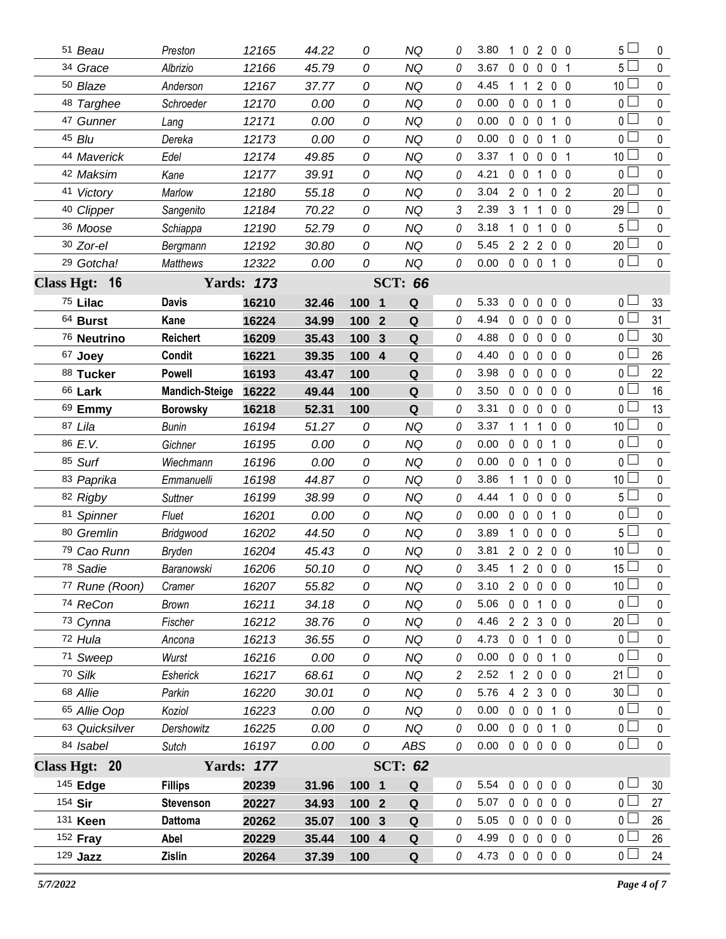| 51 Beau               | Preston               | 12165             | 44.22 | 0                              | <b>NQ</b>      | 0        | 3.80           | 1 0 2 0 0                      |                |                | 5 L             | 0            |
|-----------------------|-----------------------|-------------------|-------|--------------------------------|----------------|----------|----------------|--------------------------------|----------------|----------------|-----------------|--------------|
| 34 Grace              | Albrizio              | 12166             | 45.79 | 0                              | <b>NQ</b>      | 0        | 3.67           | $0\quad 0$                     | $\mathbf 0$    | 0 <sub>1</sub> | 5 <sup>1</sup>  | $\mathbf 0$  |
| 50 Blaze              | Anderson              | 12167             | 37.77 | 0                              | NQ             | 0        | 4.45           | $\mathbf{1}$                   | $\mathbf{2}$   | $0\quad 0$     | 10 L            | 0            |
| 48 Targhee            | Schroeder             | 12170             | 0.00  | 0                              | <b>NQ</b>      | 0        | 0.00           | $0\quad 0$                     | $\mathbf 0$    | $1\quad0$      | 0 <sub>0</sub>  | $\pmb{0}$    |
| 47 Gunner             | Lang                  | 12171             | 0.00  | 0                              | NQ             | 0        | 0.00           | $0\quad 0$                     | $\mathbf 0$    | 10             | $0\perp$        | 0            |
| 45 Blu                | Dereka                | 12173             | 0.00  | 0                              | NQ             | 0        | 0.00           | $\mathbf 0$<br>$\overline{0}$  | $\mathbf 0$    | $1\quad0$      | 0 <sup>1</sup>  | $\pmb{0}$    |
| 44 Maverick           | Edel                  | 12174             | 49.85 | 0                              | NQ             | 0        | 3.37           | $\mathbf{1}$<br>$\mathbf{0}$   | $\mathbf 0$    | 0 <sub>1</sub> | 10 <sup>1</sup> | 0            |
| 42 Maksim             | Kane                  | 12177             | 39.91 | 0                              | <b>NQ</b>      | 0        | 4.21           | $0\quad 0$                     | -1             | 0 <sub>0</sub> | $0-$            | $\pmb{0}$    |
| 41 Victory            | Marlow                | 12180             | 55.18 | 0                              | <b>NQ</b>      | 0        | 3.04           | $2\quad0$                      | 1              | 0 <sub>2</sub> | 20 L            | 0            |
| <sup>40</sup> Clipper | Sangenito             | 12184             | 70.22 | 0                              | <b>NQ</b>      | 3        | 2.39           | 3 <sub>1</sub>                 | 1              | $0\quad 0$     | 29 L            | 0            |
| 36 Moose              | Schiappa              | 12190             | 52.79 | 0                              | NQ             | 0        | 3.18           | $\mathbf{1}$<br>$\mathbf 0$    | 1              | 0 <sub>0</sub> | 5 l             | 0            |
| 30 Zor-el             | Bergmann              | 12192             | 30.80 | 0                              | <b>NQ</b>      | 0        | 5.45           | 2 2 2                          |                | 0 <sub>0</sub> | $20$ $\Box$     | $\pmb{0}$    |
| <sup>29</sup> Gotcha! | <b>Matthews</b>       | 12322             | 0.00  | 0                              | <b>NQ</b>      | 0        | 0.00           | 0 0 0 1 0                      |                |                | 0 <sup>1</sup>  | $\mathbf 0$  |
| Class Hgt: 16         |                       | <b>Yards: 173</b> |       |                                | <b>SCT: 66</b> |          |                |                                |                |                |                 |              |
| 75 Lilac              | <b>Davis</b>          | 16210             | 32.46 | 100 1                          | Q              | 0        | 5.33           | 0<br>$\mathbf{0}$              | $\mathbf 0$    | $0\quad 0$     | 0 <sub>0</sub>  | 33           |
| 64 Burst              | Kane                  | 16224             | 34.99 | 100<br>$\mathbf{2}$            | Q              | 0        | 4.94           | $\mathbf{0}$<br>$\Omega$       | 0              | 0 <sub>0</sub> | 0 <sub>0</sub>  | 31           |
| 76 Neutrino           | <b>Reichert</b>       | 16209             | 35.43 | 100<br>$\mathbf{3}$            | Q              | $\theta$ | 4.88           | $\mathbf 0$<br>$\overline{0}$  | $\mathbf 0$    | 0 <sub>0</sub> | 0 <sub>0</sub>  | 30           |
| 67 Joey               | Condit                | 16221             | 39.35 | 100<br>$\overline{\mathbf{4}}$ | Q              | 0        | 4.40           | $0\quad 0$                     | $\mathbf 0$    | 0 <sub>0</sub> | 0 l             | 26           |
| 88 Tucker             | <b>Powell</b>         | 16193             | 43.47 | 100                            | Q              | 0        | 3.98           | $\mathbf{0}$<br>$\overline{0}$ | 0              | 0 <sub>0</sub> | 0 L             | 22           |
| <sup>66</sup> Lark    | <b>Mandich-Steige</b> | 16222             | 49.44 | 100                            | Q              | 0        | 3.50           | $0\quad 0$                     | $\mathbf{0}$   | 0 <sub>0</sub> | 0 L             | 16           |
| 69 Emmy               | <b>Borowsky</b>       | 16218             | 52.31 | 100                            | Q              | 0        | 3.31           | 0<br>$\mathbf 0$               | 0              | 0 <sub>0</sub> | 0 l             | 13           |
| 87 Lila               | <b>Bunin</b>          | 16194             | 51.27 | 0                              | NQ             | 0        | 3.37           | 1<br>$\overline{1}$            | 1              | 0 <sub>0</sub> | 10 <sup>1</sup> | 0            |
| 86 E.V.               | Gichner               | 16195             | 0.00  | 0                              | <b>NQ</b>      | 0        | 0.00           | $0\quad 0$                     | $\mathbf 0$    | $1\quad0$      | 0 <sub>0</sub>  | 0            |
| 85 Surf               | Wiechmann             | 16196             | 0.00  | 0                              | NQ             | 0        | 0.00           | $0\quad 0$                     | -1             | 0 <sub>0</sub> | 0 <sub>1</sub>  | $\mathbf{0}$ |
| 83 Paprika            | Emmanuelli            | 16198             | 44.87 | 0                              | <b>NQ</b>      | $\theta$ | 3.86           | 1<br>$\overline{1}$            | 0              | 0 <sub>0</sub> | 10 <sup>1</sup> | 0            |
| 82 Rigby              | <b>Suttner</b>        | 16199             | 38.99 | 0                              | <b>NQ</b>      | 0        | 4.44           | $\mathbf{0}$<br>$\mathbf 1$    | $\mathbf 0$    | 0 <sub>0</sub> | 5 L             | $\mathbf{0}$ |
| 81 Spinner            | Fluet                 | 16201             | 0.00  | 0                              | <b>NQ</b>      | 0        | 0.00           | $\mathbf{0}$<br>$\overline{0}$ | $\mathbf 0$    | $1\quad0$      | 0 L             | 0            |
| 80 Gremlin            | Bridgwood             | 16202             | 44.50 | 0                              | NQ             | 0        | 3.89           | $\mathbf{0}$<br>1              | 0              | 0 <sub>0</sub> | 5 L             | $\mathbf{0}$ |
| 79 Cao Runn           | Bryden                | 16204             | 45.43 | 0                              | <b>NQ</b>      | $\theta$ | 3.81           | $2\quad0$                      |                | 200            | 10 $\lfloor$    | $\mathbf 0$  |
| 78 Sadie              | Baranowski            | 16206             | 50.10 | 0                              | <b>NQ</b>      | 0        | 3.45           | 1 2 0 0 0                      |                |                | 15 <sub>–</sub> | 0            |
| 77 Rune (Roon)        | Cramer                | 16207             | 55.82 | 0                              | <b>NQ</b>      | 0        | 3.10           | 2 0 0 0 0                      |                |                | 10 <sup>1</sup> | $\mathbf{0}$ |
| 74 ReCon              | Brown                 | 16211             | 34.18 | 0                              | NQ             | 0        | 5.06           | $0\quad 0$                     | 1              | 0 <sub>0</sub> | 0 <sup>1</sup>  | 0            |
| 73 Cynna              | Fischer               | 16212             | 38.76 | 0                              | NQ             | 0        | 4.46           | 2 2 3                          |                | $0\quad 0$     | 20 <sup>1</sup> | 0            |
| 72 Hula               | Ancona                | 16213             | 36.55 | 0                              | ΝQ             | 0        | 4.73           | $0\quad 0$                     | 1              | 0 <sub>0</sub> | 0 <sub>0</sub>  | 0            |
| 71 Sweep              | Wurst                 | 16216             | 0.00  | 0                              | <b>NQ</b>      | 0        | 0.00           | $0\quad 0\quad 0$              |                | 1 0            | 0 <sub>0</sub>  | 0            |
| 70 Silk               | Esherick              | 16217             | 68.61 | 0                              | <b>NQ</b>      | 2        | 2.52           | $\mathbf{1}$                   | 2 0 0 0        |                | $21 -$          | 0            |
| 68 Allie              | Parkin                | 16220             | 30.01 | 0                              | <b>NQ</b>      | 0        | 5.76           | 4                              | 2 <sub>3</sub> | $0\quad 0$     | 30 <sup>1</sup> | 0            |
| 65 Allie Oop          | Koziol                | 16223             | 0.00  | 0                              | NQ             | 0        | 0.00           | $0\quad 0$                     | $\mathbf 0$    | 1 0            | 0 <sub>0</sub>  | 0            |
| 63 Quicksilver        | Dershowitz            | 16225             | 0.00  | 0                              | NQ             | 0        | 0.00           | $0\quad 0\quad 0$              |                | 1 0            | 0 <sub>0</sub>  | 0            |
| 84 Isabel             | Sutch                 | 16197             | 0.00  | 0                              | ABS            | 0        | 0.00           | 00000                          |                |                | 0 <sub>0</sub>  | 0            |
| Class Hgt: 20         |                       | <b>Yards: 177</b> |       |                                | <b>SCT: 62</b> |          |                |                                |                |                |                 |              |
| 145 Edge              | <b>Fillips</b>        | 20239             | 31.96 | 100 1                          | Q              | 0        | 5.54           | $0\quad 0$                     | $\mathbf 0$    | 0 <sub>0</sub> | 0 <sub>0</sub>  | 30           |
| 154 Sir               | <b>Stevenson</b>      | 20227             | 34.93 | 100 2                          | Q              | 0        | 5.07           | $0\quad 0\quad 0$              |                | $0\quad 0$     | 0 <sub>0</sub>  | 27           |
| 131 Keen              | <b>Dattoma</b>        | 20262             | 35.07 | 100 3                          | $\mathbf Q$    | 0        | 5.05           | $0\quad 0\quad 0$              |                | $0\quad 0$     | 0 <sub>0</sub>  | 26           |
| 152 Fray              | Abel                  | 20229             | 35.44 | 100 4                          | Q              | 0        | 4.99           | $0\quad 0\quad 0$              |                | $0\quad 0$     | 0 <sub>0</sub>  | 26           |
| 129 Jazz              | Zislin                | 20264             | 37.39 | 100                            | $\mathbf Q$    | 0        | 4.73 0 0 0 0 0 |                                |                |                | 0 <sub>0</sub>  | 24           |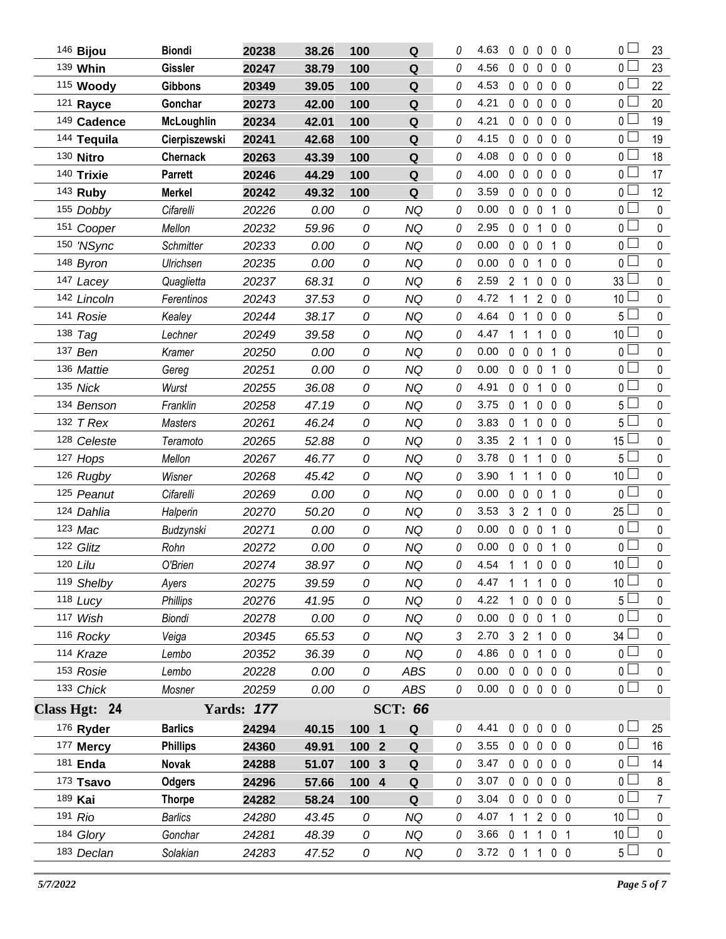| 146 Bijou     | <b>Biondi</b>     | 20238             | 38.26 | 100              | Q              | 0        | 4.63           | $0\quad 0$     |                         | 0                 | 0 <sub>0</sub> |              | 0 <sup>2</sup>  | 23             |
|---------------|-------------------|-------------------|-------|------------------|----------------|----------|----------------|----------------|-------------------------|-------------------|----------------|--------------|-----------------|----------------|
| 139 Whin      | <b>Gissler</b>    | 20247             | 38.79 | 100              | ${\bf Q}$      | 0        | 4.56           | $\mathbf 0$    | $\mathbf 0$             | 0                 | 0 <sub>0</sub> |              | 0 L             | 23             |
| 115 Woody     | <b>Gibbons</b>    | 20349             | 39.05 | 100              | Q              | 0        | 4.53           | $0\quad 0$     |                         | $\mathbf 0$       | 0 <sub>0</sub> |              | 0 <sub>l</sub>  | 22             |
| 121 Rayce     | Gonchar           | 20273             | 42.00 | 100              | Q              | 0        | 4.21           | $0\quad 0$     |                         | 0                 | 0 <sub>0</sub> |              | 0 <sup>2</sup>  | 20             |
| 149 Cadence   | <b>McLoughlin</b> | 20234             | 42.01 | 100              | $\mathbf Q$    | 0        | 4.21           | $0\quad 0$     |                         | $\mathbf 0$       | 0 <sub>0</sub> |              | 0 <sub>0</sub>  | 19             |
| 144 Tequila   | Cierpiszewski     | 20241             | 42.68 | 100              | Q              | 0        | 4.15           | $\mathbf 0$    | $\mathbf 0$             | 0                 | 0 <sub>0</sub> |              | 0 <sub>0</sub>  | 19             |
| 130 Nitro     | <b>Chernack</b>   | 20263             | 43.39 | 100              | $\mathbf Q$    | 0        | 4.08           | $0\quad 0$     |                         | 0                 | 0 <sub>0</sub> |              | 0 <sub>0</sub>  | 18             |
| 140 Trixie    | <b>Parrett</b>    | 20246             | 44.29 | 100              | $\mathbf Q$    | 0        | 4.00           | $\mathbf 0$    | $\mathbb O$             | 0                 | 0 <sub>0</sub> |              | 0 <sub>0</sub>  | 17             |
| 143 Ruby      | <b>Merkel</b>     | 20242             | 49.32 | 100              | Q              | 0        | 3.59           | $0\quad 0$     |                         | 0                 | 0 <sub>0</sub> |              | 0 <sub>0</sub>  | 12             |
| 155 Dobby     | Cifarelli         | 20226             | 0.00  | 0                | <b>NQ</b>      | 0        | 0.00           | $\mathbf 0$    | $\mathbf 0$             | 0                 | 1              | $\mathbf 0$  | 0 <sup>1</sup>  | $\pmb{0}$      |
| 151 Cooper    | Mellon            | 20232             | 59.96 | 0                | <b>NQ</b>      | 0        | 2.95           | $0\quad 0$     |                         | 1                 | 0 <sub>0</sub> |              | 0 <sub>0</sub>  | $\pmb{0}$      |
| 150 'NSync    | <b>Schmitter</b>  | 20233             | 0.00  | 0                | <b>NQ</b>      | 0        | 0.00           | $\mathbf 0$    | $\mathbb O$             | 0                 | 1              | $\mathbf{0}$ | $\overline{0}$  | 0              |
| 148 Byron     | Ulrichsen         | 20235             | 0.00  | 0                | <b>NQ</b>      | 0        | 0.00           | $0\quad 0$     |                         | 1                 | 0 <sub>0</sub> |              | $\overline{0}$  | 0              |
| 147 Lacey     | Quaglietta        | 20237             | 68.31 | 0                | <b>NQ</b>      | 6        | 2.59           | $\overline{2}$ | $\mathbf{1}$            | 0                 | $0\quad 0$     |              | $33\perp$       | $\mathbf 0$    |
| 142 Lincoln   | Ferentinos        | 20243             | 37.53 | 0                | <b>NQ</b>      | 0        | 4.72           | $1\quad1$      |                         | 200               |                |              | 10 <sup>L</sup> | 0              |
| 141 Rosie     | Kealey            | 20244             | 38.17 | 0                | <b>NQ</b>      | 0        | 4.64           | $\mathbf{0}$   | $\mathbf{1}$            | 0                 | 0 <sub>0</sub> |              | $5\Box$         | $\mathbf 0$    |
| 138 Tag       | Lechner           | 20249             | 39.58 | 0                | <b>NQ</b>      | 0        | 4.47           | $1\quad1$      |                         | 1                 | 0 <sub>0</sub> |              | 10 <sup>2</sup> | 0              |
| 137 Ben       | Kramer            | 20250             | 0.00  | 0                | <b>NQ</b>      | 0        | 0.00           | 0              | $\mathbf 0$             | 0                 | 1 0            |              | $\overline{0}$  | $\mathbf 0$    |
| 136 Mattie    | Gereg             | 20251             | 0.00  | 0                | <b>NQ</b>      | 0        | 0.00           | $0\quad 0$     |                         | 0                 | 1 0            |              | $\overline{0}$  | 0              |
| 135 Nick      | Wurst             | 20255             | 36.08 | 0                | <b>NQ</b>      | 0        | 4.91           | $\mathbf{0}$   | 0                       | 1                 | 0 <sub>0</sub> |              | $\overline{0}$  | $\mathbf 0$    |
| 134 Benson    | Franklin          | 20258             | 47.19 | 0                | <b>NQ</b>      | 0        | 3.75           | 0 <sub>1</sub> |                         | 0                 | 0 <sub>0</sub> |              | 5 <sub>1</sub>  | 0              |
| 132 T Rex     | <b>Masters</b>    | 20261             | 46.24 | 0                | <b>NQ</b>      | 0        | 3.83           | 0              | $\overline{1}$          | $\mathbf 0$       | $0\quad 0$     |              | $5\perp$        | $\mathbf 0$    |
| 128 Celeste   | Teramoto          | 20265             | 52.88 | 0                | <b>NQ</b>      | 0        | 3.35           | 2 <sub>1</sub> |                         | 1                 | 0 <sub>0</sub> |              | 15 <sup>L</sup> | 0              |
| 127 Hops      | Mellon            | 20267             | 46.77 | 0                | <b>NQ</b>      | 0        | 3.78           | 0              | $\overline{1}$          | 1                 | 0 <sub>0</sub> |              | $5\perp$        | $\mathbf 0$    |
| 126 Rugby     | Wisner            | 20268             | 45.42 | 0                | <b>NQ</b>      | 0        | 3.90           | 1.             | 1                       | 1                 | 0 <sub>0</sub> |              | 10 <sup>2</sup> | 0              |
| 125 Peanut    | Cifarelli         | 20269             | 0.00  | 0                | <b>NQ</b>      | 0        | 0.00           | $\mathbf 0$    | $\mathbf 0$             | $\mathbf 0$       | $\mathbf{1}$   | $\mathbf 0$  | $\overline{0}$  | $\mathbf 0$    |
| 124 Dahlia    | Halperin          | 20270             | 50.20 | 0                | <b>NQ</b>      | 0        | 3.53           | 3 <sub>2</sub> |                         | 1                 | 0 <sub>0</sub> |              | 25 <sup>L</sup> | 0              |
| 123 Mac       | Budzynski         | 20271             | 0.00  | 0                | <b>NQ</b>      | 0        | 0.00           | $\mathbf 0$    | $\mathbf 0$             | 0                 | $\mathbf{1}$   | $\mathbf{0}$ | $0\perp$        | $\mathbf 0$    |
| 122 Glitz     | Rohn              | 20272             | 0.00  | 0                | <b>NQ</b>      | 0        | 0.00           | $\mathbf 0$    | $\overline{\mathbf{0}}$ | 0                 | 1 <sub>0</sub> |              | $\overline{0}$  | $\pmb{0}$      |
| 120 Lilu      | O'Brien           | 20274             | 38.97 | 0                | <b>NQ</b>      | $\theta$ | 4.54           | $1\quad1$      |                         | $0\quad 0\quad 0$ |                |              | $10$ $\Box$     | 0              |
| 119 Shelby    | Ayers             | 20275             | 39.59 | 0                | ΝQ             | 0        | 4.47           | 1 1 1 0 0      |                         |                   |                |              | $10$ $\Box$     | 0              |
| 118 Lucy      | <b>Phillips</b>   | 20276             | 41.95 | 0                | <b>NQ</b>      | 0        | 4.22           | $\mathbf{1}$   | $\overline{0}$          | $0\quad 0\quad 0$ |                |              | 5 <sup>1</sup>  | 0              |
| 117 Wish      | Biondi            | 20278             | 0.00  | 0                | NQ             | 0        | 0.00           |                | $0\quad 0\quad 0$       |                   | 1 0            |              | 0 <sup>2</sup>  | 0              |
| 116 Rocky     | Veiga             | 20345             | 65.53 | 0                | NQ             | 3        | 2.70           |                | 3 2 1                   |                   | $0\quad 0$     |              | $34 \Box$       | 0              |
| 114 Kraze     | Lembo             | 20352             | 36.39 | 0                | NQ             | 0        | 4.86           | $0\quad 0$     |                         | 1                 | 0 <sub>0</sub> |              | 0 <sub>0</sub>  | 0              |
| 153 Rosie     | Lembo             | 20228             | 0.00  | 0                | ABS            | 0        | 0.00           |                |                         | 0 0 0 0 0         |                |              | $\overline{0}$  | 0              |
| 133 Chick     | Mosner            | 20259             | 0.00  | 0                | ABS            | 0        | 0.00           |                |                         | 00000             |                |              | $\overline{0}$  | 0              |
| Class Hgt: 24 |                   | <b>Yards: 177</b> |       |                  | <b>SCT: 66</b> |          |                |                |                         |                   |                |              |                 |                |
| 176 Ryder     | <b>Barlics</b>    | 24294             | 40.15 | 100 1            | Q              | 0        | 4.41           |                |                         | 0 0 0 0 0         |                |              | 0 <sub>1</sub>  | 25             |
| 177 Mercy     | <b>Phillips</b>   | 24360             | 49.91 | 100 2            | Q              | 0        | 3.55           | $0\quad 0$     |                         | $\mathbf 0$       | 0 <sub>0</sub> |              | 0 <sub>0</sub>  | 16             |
| 181 Enda      | Novak             | 24288             | 51.07 | 100 <sub>3</sub> | $\mathbf Q$    | 0        | 3.47           | $0\quad 0$     |                         | $\mathbf 0$       | $0\quad 0$     |              | 0 <sub>1</sub>  | 14             |
| $173$ Tsavo   | <b>Odgers</b>     | 24296             | 57.66 | 100 4            | Q              | 0        | 3.07           | $0\quad 0$     |                         | $\mathbf 0$       | $0\quad 0$     |              | 0 <sup>1</sup>  | 8              |
| 189 Kai       | <b>Thorpe</b>     | 24282             | 58.24 | 100              | Q              | 0        | 3.04           | $0\quad 0$     |                         | $0\quad 0\quad 0$ |                |              | $\overline{0}$  | $\overline{7}$ |
| 191 Rio       | <b>Barlics</b>    | 24280             | 43.45 | 0                | <b>NQ</b>      | 0        | 4.07           | 1 1            |                         | 200               |                |              | 10 <sup>1</sup> | 0              |
| 184 Glory     | Gonchar           | 24281             | 48.39 | 0                | NQ             | 0        | 3.66           | 0 <sub>1</sub> |                         | $\mathbf{1}$      | 0 <sub>1</sub> |              | 10 <sup>L</sup> | $\pmb{0}$      |
| 183 Declan    | Solakian          | 24283             | 47.52 | 0                | NQ             | 0        | 3.72 0 1 1 0 0 |                |                         |                   |                |              | $5\Box$         | $\mathbf 0$    |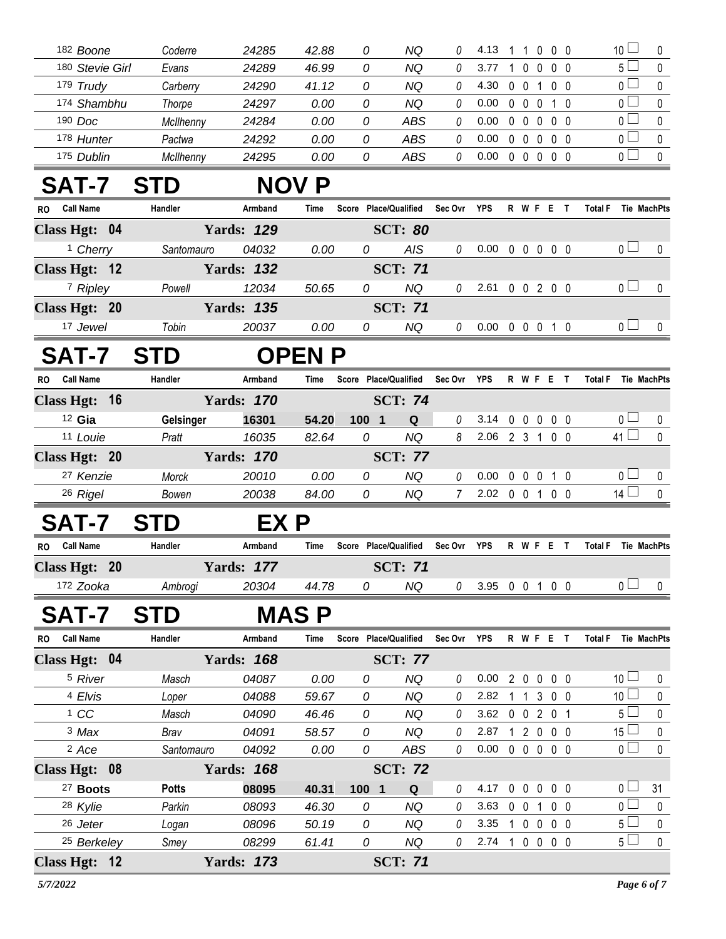| 182 Boone                     | Coderre          | 24285             | 42.88         | 0                     | NQ             | 0        | 4.13                       |            |                   |                | 11000                           |                | 10 <sup>1</sup> | 0                  |
|-------------------------------|------------------|-------------------|---------------|-----------------------|----------------|----------|----------------------------|------------|-------------------|----------------|---------------------------------|----------------|-----------------|--------------------|
| 180 Stevie Girl               | Evans            | 24289             | 46.99         | 0                     | NQ             | 0        | 3.77                       | -1         | $\mathbf{0}$      | 0              | $0\quad 0$                      |                | 5 <sub>1</sub>  | 0                  |
| 179 Trudy                     | Carberry         | 24290             | 41.12         | 0                     | NQ             | 0        | 4.30                       | $0\quad 0$ |                   | $\mathbf{1}$   | $0\quad 0$                      |                | 0 l             | 0                  |
| 174 Shambhu                   | Thorpe           | 24297             | 0.00          | 0                     | NQ             | 0        | 0.00                       |            | $0\quad 0\quad 0$ |                | $1\quad0$                       |                | $\overline{0}$  | $\mathbf 0$        |
| 190 Doc                       | McIlhenny        | 24284             | 0.00          | 0                     | <b>ABS</b>     | 0        | 0.00                       | $0\quad 0$ |                   | $\mathbf 0$    | $0\quad 0$                      |                | 0 <sub>0</sub>  | 0                  |
| 178 Hunter                    | Pactwa           | 24292             | 0.00          | 0                     | <b>ABS</b>     | 0        | 0.00                       | $0\quad 0$ |                   | $\overline{0}$ | $0\quad 0$                      |                | 0 <sup>1</sup>  | 0                  |
| 175 Dublin                    | McIlhenny        | 24295             | 0.00          | 0                     | <b>ABS</b>     | 0        | 0.00                       |            |                   |                | 00000                           |                | 0 <sub>0</sub>  | $\mathbf 0$        |
| <b>SAT-7</b>                  | <b>STD</b>       |                   | <b>NOV P</b>  |                       |                |          |                            |            |                   |                |                                 |                |                 |                    |
| <b>Call Name</b><br>RO.       | Handler          | Armband           | Time          | Score Place/Qualified |                | Sec Ovr  | <b>YPS</b>                 |            | R W F E           |                | $\mathbf{T}$                    | <b>Total F</b> |                 | <b>Tie MachPts</b> |
| Class Hgt: 04                 |                  | <b>Yards: 129</b> |               |                       | <b>SCT: 80</b> |          |                            |            |                   |                |                                 |                |                 |                    |
| <sup>1</sup> Cherry           | Santomauro       | 04032             | 0.00          | 0                     | <b>AIS</b>     | 0        | $0.00 \t0 \t0 \t0 \t0 \t0$ |            |                   |                |                                 |                | 0 <sub>0</sub>  | 0                  |
| Class Hgt: 12                 |                  | <b>Yards: 132</b> |               |                       | <b>SCT: 71</b> |          |                            |            |                   |                |                                 |                |                 |                    |
| 7 Ripley                      | Powell           | 12034             | 50.65         | 0                     | <b>NQ</b>      | 0        | 2.61 0 0 2 0 0             |            |                   |                |                                 |                | 0 <sub>0</sub>  | 0                  |
| Class Hgt: 20                 |                  | <b>Yards: 135</b> |               |                       | <b>SCT: 71</b> |          |                            |            |                   |                |                                 |                |                 |                    |
| 17 Jewel                      | Tobin            | 20037             | 0.00          | 0                     | NQ             | 0        | $0.00 \t0 \t0 \t0 \t1 \t0$ |            |                   |                |                                 |                | 0 <sub>0</sub>  | 0                  |
| <b>SAT-7</b>                  | <b>STD</b>       |                   | <b>OPEN P</b> |                       |                |          |                            |            |                   |                |                                 |                |                 |                    |
| <b>Call Name</b><br><b>RO</b> | Handler          | Armband           | Time          | Score Place/Qualified |                | Sec Ovr  | <b>YPS</b>                 |            |                   |                | R W F E T                       | <b>Total F</b> |                 | <b>Tie MachPts</b> |
| Class Hgt: 16                 |                  | <b>Yards: 170</b> |               |                       | <b>SCT: 74</b> |          |                            |            |                   |                |                                 |                |                 |                    |
| $12$ Gia                      | <b>Gelsinger</b> | 16301             | 54.20         | 100 1                 | Q              | 0        | 3.14 0 0 0 0 0             |            |                   |                |                                 |                | 0 <sub>1</sub>  | 0                  |
| 11 Louie                      | Pratt            | 16035             | 82.64         | 0                     | <b>NQ</b>      | 8        | 2.06                       |            |                   |                | 2 3 1 0 0                       |                | $41\Box$        | $\mathbf 0$        |
| Class Hgt: 20                 |                  | <b>Yards: 170</b> |               |                       | <b>SCT: 77</b> |          |                            |            |                   |                |                                 |                |                 |                    |
| 27 Kenzie                     | Morck            | 20010             | 0.00          | 0                     | <b>NQ</b>      | 0        | 0.00                       |            |                   |                | 0 0 0 1 0                       |                | 0 <sub>1</sub>  | 0                  |
| 26 Rigel                      | Bowen            | 20038             | 84.00         | 0                     | NQ             | 7        | 2.02 0 0 1 0 0             |            |                   |                |                                 |                | 14              | $\pmb{0}$          |
| <b>SAT-7</b>                  | <b>STD</b>       | EX P              |               |                       |                |          |                            |            |                   |                |                                 |                |                 |                    |
| <b>Call Name</b><br>RO.       | Handler          | Armband           | Time          | Score Place/Qualified |                | Sec Ovr  | <b>YPS</b>                 |            |                   |                | R W F E T                       | <b>Total F</b> |                 | <b>Tie MachPts</b> |
| Class Hgt: 20                 |                  | <b>Yards: 177</b> |               |                       | <b>SCT: 71</b> |          |                            |            |                   |                |                                 |                |                 |                    |
| 172 Zooka                     | Ambrogi          | 20304             | 44.78         | 0                     | NQ             | 0        | 3.95 0 0 1 0 0             |            |                   |                |                                 |                | 0 <sub>1</sub>  | 0                  |
| SAT-7                         | <b>STD</b>       |                   | <b>MAS P</b>  |                       |                |          |                            |            |                   |                |                                 |                |                 |                    |
| <b>Call Name</b><br>RO.       | Handler          | Armband           | Time          | Score Place/Qualified |                | Sec Ovr  | <b>YPS</b>                 |            |                   |                | R W F E T                       | <b>Total F</b> |                 | <b>Tie MachPts</b> |
| Class Hgt: 04                 |                  | <b>Yards: 168</b> |               |                       | <b>SCT: 77</b> |          |                            |            |                   |                |                                 |                |                 |                    |
| <sup>5</sup> River            | Masch            | 04087             | 0.00          | 0                     | NQ             | 0        | 0.00                       |            | 200               |                | $0\quad 0$                      |                | 10 <sup>1</sup> | 0                  |
| 4 Elvis                       | Loper            | 04088             | 59.67         | 0                     | NQ             | 0        | 2.82                       |            | $1\quad1$         |                | 3 0 0                           |                | 10 <sup>2</sup> | 0                  |
| 1 CC                          | Masch            | 04090             | 46.46         | 0                     | <b>NQ</b>      | 0        | 3.62 0 0 2 0 1             |            |                   |                |                                 |                | 5 <sub>1</sub>  | $\pmb{0}$          |
| 3 Max                         | Brav             | 04091             | 58.57         | 0                     | NQ             | 0        | 2.87                       |            |                   |                | 1 2 0 0 0                       |                | $15 -$          | $\pmb{0}$          |
| <sup>2</sup> Ace              | Santomauro       | 04092             | 0.00          | 0                     | <b>ABS</b>     | 0        | 0.00                       |            |                   |                | $0\quad 0\quad 0\quad 0\quad 0$ |                | 0 <sub>0</sub>  | $\mathbf 0$        |
| Class Hgt: 08                 |                  | <b>Yards: 168</b> |               |                       | <b>SCT: 72</b> |          |                            |            |                   |                |                                 |                |                 |                    |
| <sup>27</sup> Boots           | <b>Potts</b>     | 08095             | 40.31         | 100 1                 | Q              | 0        | 4.17                       |            |                   |                | 00000                           |                | 0 <sub>0</sub>  | 31                 |
| 28 Kylie                      | Parkin           | 08093             | 46.30         | 0                     | <b>NQ</b>      | 0        | 3.63 0 0 1 0 0             |            |                   |                |                                 |                | 0 <sub>0</sub>  | $\pmb{0}$          |
| 26 Jeter                      | Logan            | 08096             | 50.19         | 0                     | <b>NQ</b>      | 0        | 3.35                       |            |                   |                | 10000                           |                | $5 -$           | $\mathbf 0$        |
| <sup>25</sup> Berkeley        | Smey             | 08299             | 61.41         | 0                     | NQ             | $\theta$ | 2.74 1 0 0 0 0             |            |                   |                |                                 |                | 5 <sub>1</sub>  | $\pmb{0}$          |
| Class Hgt: 12                 |                  | <b>Yards: 173</b> |               |                       | <b>SCT: 71</b> |          |                            |            |                   |                |                                 |                |                 |                    |